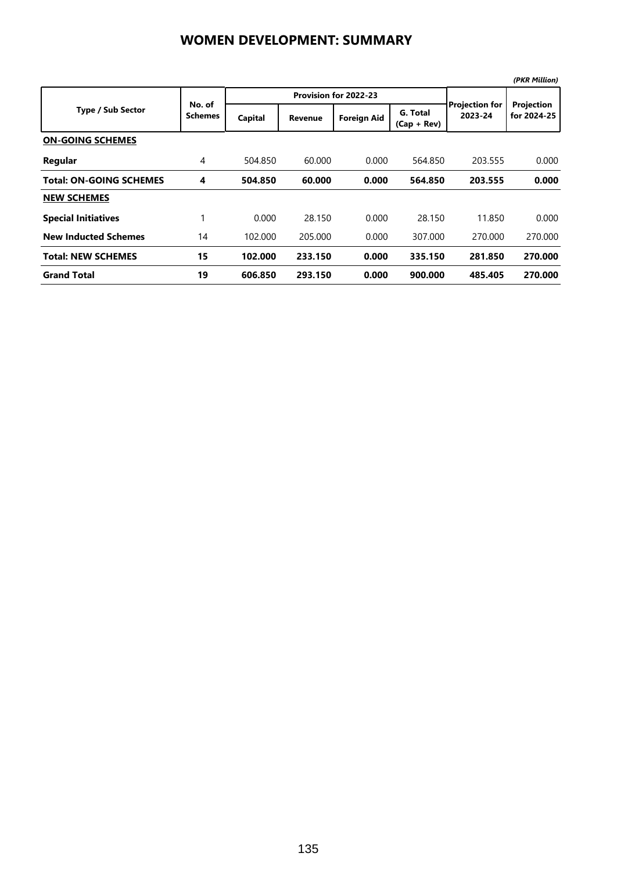## **WOMEN DEVELOPMENT: SUMMARY**

|                                |                          |         |                       |                    |                           |                                  | (PKR Million)             |
|--------------------------------|--------------------------|---------|-----------------------|--------------------|---------------------------|----------------------------------|---------------------------|
| <b>Type / Sub Sector</b>       | No. of<br><b>Schemes</b> |         | Provision for 2022-23 |                    |                           |                                  |                           |
|                                |                          | Capital | Revenue               | <b>Foreign Aid</b> | G. Total<br>$(Cap + Rev)$ | <b>Projection for</b><br>2023-24 | Projection<br>for 2024-25 |
| <b>ON-GOING SCHEMES</b>        |                          |         |                       |                    |                           |                                  |                           |
| Regular                        | 4                        | 504.850 | 60.000                | 0.000              | 564.850                   | 203.555                          | 0.000                     |
| <b>Total: ON-GOING SCHEMES</b> | 4                        | 504.850 | 60.000                | 0.000              | 564.850                   | 203.555                          | 0.000                     |
| <b>NEW SCHEMES</b>             |                          |         |                       |                    |                           |                                  |                           |
| <b>Special Initiatives</b>     |                          | 0.000   | 28.150                | 0.000              | 28.150                    | 11.850                           | 0.000                     |
| <b>New Inducted Schemes</b>    | 14                       | 102.000 | 205.000               | 0.000              | 307.000                   | 270.000                          | 270.000                   |
| <b>Total: NEW SCHEMES</b>      | 15                       | 102.000 | 233.150               | 0.000              | 335.150                   | 281.850                          | 270.000                   |
| <b>Grand Total</b>             | 19                       | 606.850 | 293.150               | 0.000              | 900.000                   | 485.405                          | 270.000                   |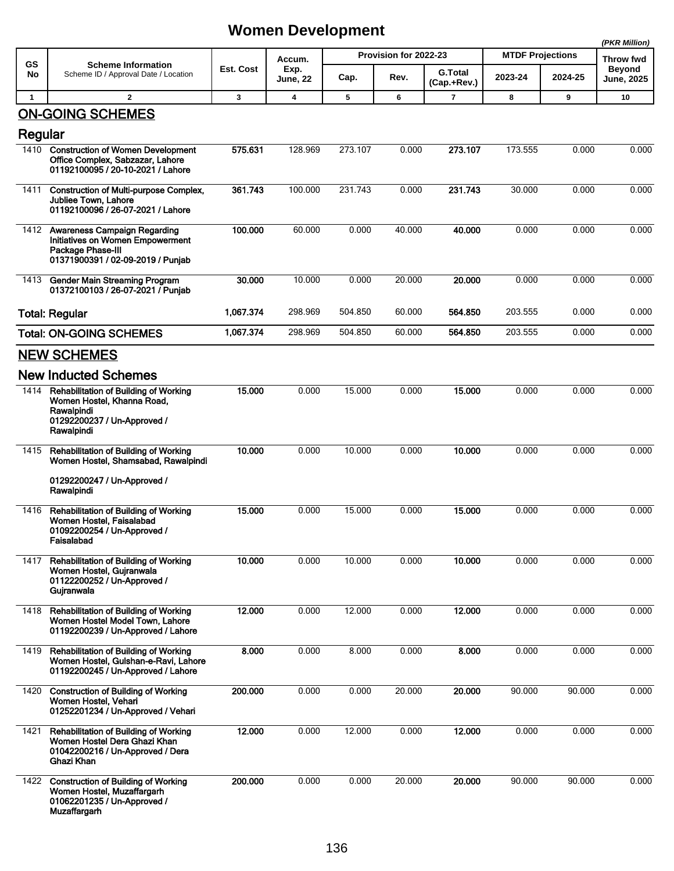## **Women Development**

|              |                                                                                                                                       |           |                                   |                       |        |                               |                         | (PKR Million) |                                    |
|--------------|---------------------------------------------------------------------------------------------------------------------------------------|-----------|-----------------------------------|-----------------------|--------|-------------------------------|-------------------------|---------------|------------------------------------|
| GS           | <b>Scheme Information</b><br>Scheme ID / Approval Date / Location                                                                     | Est. Cost | Accum.<br>Exp.<br><b>June, 22</b> | Provision for 2022-23 |        |                               | <b>MTDF Projections</b> |               | Throw fwd                          |
| No           |                                                                                                                                       |           |                                   | Cap.                  | Rev.   | <b>G.Total</b><br>(Cap.+Rev.) | 2023-24                 | 2024-25       | <b>Beyond</b><br><b>June, 2025</b> |
| $\mathbf{1}$ | $\overline{2}$                                                                                                                        | 3         | $\overline{\mathbf{4}}$           | 5                     | 6      | 7                             | 8                       | 9             | 10                                 |
| Regular      | <b>ON-GOING SCHEMES</b>                                                                                                               |           |                                   |                       |        |                               |                         |               |                                    |
| 1410         | <b>Construction of Women Development</b><br>Office Complex, Sabzazar, Lahore<br>01192100095 / 20-10-2021 / Lahore                     | 575.631   | 128.969                           | 273.107               | 0.000  | 273.107                       | 173.555                 | 0.000         | 0.000                              |
| 1411         | <b>Construction of Multi-purpose Complex,</b><br><b>Jubliee Town, Lahore</b><br>01192100096 / 26-07-2021 / Lahore                     | 361.743   | 100.000                           | 231.743               | 0.000  | 231.743                       | 30.000                  | 0.000         | 0.000                              |
| 1412         | <b>Awareness Campaign Regarding</b><br>Initiatives on Women Empowerment<br>Package Phase-III<br>01371900391 / 02-09-2019 / Punjab     | 100.000   | 60.000                            | 0.000                 | 40.000 | 40.000                        | 0.000                   | 0.000         | 0.000                              |
| 1413         | <b>Gender Main Streaming Program</b><br>01372100103 / 26-07-2021 / Punjab                                                             | 30.000    | 10.000                            | 0.000                 | 20.000 | 20.000                        | 0.000                   | 0.000         | 0.000                              |
|              | <b>Total: Regular</b>                                                                                                                 | 1,067.374 | 298.969                           | 504.850               | 60.000 | 564.850                       | 203.555                 | 0.000         | 0.000                              |
|              | <b>Total: ON-GOING SCHEMES</b>                                                                                                        | 1,067.374 | 298.969                           | 504.850               | 60.000 | 564.850                       | 203.555                 | 0.000         | 0.000                              |
|              | <b>NEW SCHEMES</b>                                                                                                                    |           |                                   |                       |        |                               |                         |               |                                    |
|              | <b>New Inducted Schemes</b>                                                                                                           |           |                                   |                       |        |                               |                         |               |                                    |
| 1414         | <b>Rehabilitation of Building of Working</b><br>Women Hostel, Khanna Road,<br>Rawalpindi<br>01292200237 / Un-Approved /<br>Rawalpindi | 15.000    | 0.000                             | 15.000                | 0.000  | 15.000                        | 0.000                   | 0.000         | 0.000                              |
| 1415         | <b>Rehabilitation of Building of Working</b><br>Women Hostel, Shamsabad, Rawalpindi                                                   | 10.000    | 0.000                             | 10.000                | 0.000  | 10.000                        | 0.000                   | 0.000         | 0.000                              |
| 1416         | 01292200247 / Un-Approved /<br>Rawalpindi<br>Rehabilitation of Building of Working<br>Women Hostel, Faisalabad                        | 15.000    | 0.000                             | 15.000                | 0.000  | 15.000                        | 0.000                   | 0.000         | 0.000                              |
|              | 01092200254 / Un-Approved /<br>Faisalabad                                                                                             |           |                                   |                       |        |                               |                         |               |                                    |
| 1417         | Rehabilitation of Building of Working<br>Women Hostel, Gujranwala<br>01122200252 / Un-Approved /<br>Gujranwala                        | 10.000    | 0.000                             | 10.000                | 0.000  | 10.000                        | 0.000                   | 0.000         | 0.000                              |
| 1418         | Rehabilitation of Building of Working<br>Women Hostel Model Town, Lahore<br>01192200239 / Un-Approved / Lahore                        | 12.000    | 0.000                             | 12.000                | 0.000  | 12.000                        | 0.000                   | 0.000         | 0.000                              |
| 1419         | <b>Rehabilitation of Building of Working</b><br>Women Hostel, Gulshan-e-Ravi, Lahore<br>01192200245 / Un-Approved / Lahore            | 8.000     | 0.000                             | 8.000                 | 0.000  | 8.000                         | 0.000                   | 0.000         | 0.000                              |
| 1420         | <b>Construction of Building of Working</b><br>Women Hostel, Vehari<br>01252201234 / Un-Approved / Vehari                              | 200.000   | 0.000                             | 0.000                 | 20.000 | 20.000                        | 90.000                  | 90.000        | 0.000                              |
| 1421         | <b>Rehabilitation of Building of Working</b><br>Women Hostel Dera Ghazi Khan<br>01042200216 / Un-Approved / Dera<br>Ghazi Khan        | 12.000    | 0.000                             | 12.000                | 0.000  | 12.000                        | 0.000                   | 0.000         | 0.000                              |
| 1422         | <b>Construction of Building of Working</b><br>Women Hostel, Muzaffargarh<br>01062201235 / Un-Approved /<br><b>Muzaffargarh</b>        | 200.000   | 0.000                             | 0.000                 | 20.000 | 20.000                        | 90.000                  | 90.000        | 0.000                              |